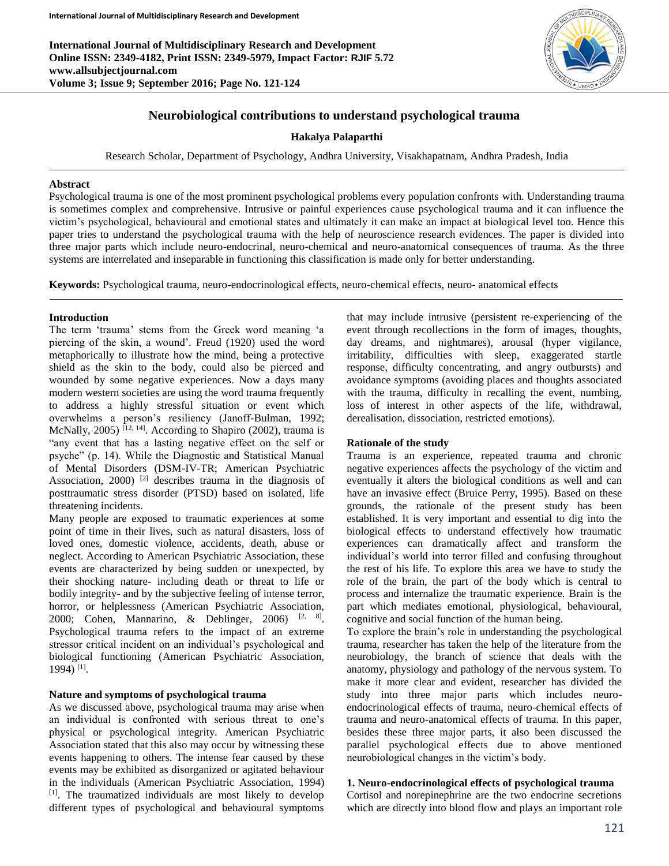**International Journal of Multidisciplinary Research and Development Online ISSN: 2349-4182, Print ISSN: 2349-5979, Impact Factor: RJIF 5.72 www.allsubjectjournal.com Volume 3; Issue 9; September 2016; Page No. 121-124**



# **Neurobiological contributions to understand psychological trauma**

### **Hakalya Palaparthi**

Research Scholar, Department of Psychology, Andhra University, Visakhapatnam, Andhra Pradesh, India

#### **Abstract**

Psychological trauma is one of the most prominent psychological problems every population confronts with. Understanding trauma is sometimes complex and comprehensive. Intrusive or painful experiences cause psychological trauma and it can influence the victim's psychological, behavioural and emotional states and ultimately it can make an impact at biological level too. Hence this paper tries to understand the psychological trauma with the help of neuroscience research evidences. The paper is divided into three major parts which include neuro-endocrinal, neuro-chemical and neuro-anatomical consequences of trauma. As the three systems are interrelated and inseparable in functioning this classification is made only for better understanding.

**Keywords:** Psychological trauma, neuro-endocrinological effects, neuro-chemical effects, neuro- anatomical effects

### **Introduction**

The term 'trauma' stems from the Greek word meaning 'a piercing of the skin, a wound'. Freud (1920) used the word metaphorically to illustrate how the mind, being a protective shield as the skin to the body, could also be pierced and wounded by some negative experiences. Now a days many modern western societies are using the word trauma frequently to address a highly stressful situation or event which overwhelms a person's resiliency (Janoff-Bulman, 1992; McNally, 2005)  $[12, 14]$ . According to Shapiro (2002), trauma is "any event that has a lasting negative effect on the self or psyche" (p. 14). While the Diagnostic and Statistical Manual of Mental Disorders (DSM-IV-TR; American Psychiatric Association,  $2000$ <sup>[2]</sup> describes trauma in the diagnosis of posttraumatic stress disorder (PTSD) based on isolated, life threatening incidents.

Many people are exposed to traumatic experiences at some point of time in their lives, such as natural disasters, loss of loved ones, domestic violence, accidents, death, abuse or neglect. According to American Psychiatric Association, these events are characterized by being sudden or unexpected, by their shocking nature- including death or threat to life or bodily integrity- and by the subjective feeling of intense terror, horror, or helplessness (American Psychiatric Association, 2000; Cohen, Mannarino, & Deblinger, 2006)  $[2, 8]$ . Psychological trauma refers to the impact of an extreme stressor critical incident on an individual's psychological and biological functioning (American Psychiatric Association, 1994) [1] .

### **Nature and symptoms of psychological trauma**

As we discussed above, psychological trauma may arise when an individual is confronted with serious threat to one's physical or psychological integrity. American Psychiatric Association stated that this also may occur by witnessing these events happening to others. The intense fear caused by these events may be exhibited as disorganized or agitated behaviour in the individuals (American Psychiatric Association, 1994) [1]. The traumatized individuals are most likely to develop different types of psychological and behavioural symptoms

that may include intrusive (persistent re-experiencing of the event through recollections in the form of images, thoughts, day dreams, and nightmares), arousal (hyper vigilance, irritability, difficulties with sleep, exaggerated startle response, difficulty concentrating, and angry outbursts) and avoidance symptoms (avoiding places and thoughts associated with the trauma, difficulty in recalling the event, numbing, loss of interest in other aspects of the life, withdrawal, derealisation, dissociation, restricted emotions).

### **Rationale of the study**

Trauma is an experience, repeated trauma and chronic negative experiences affects the psychology of the victim and eventually it alters the biological conditions as well and can have an invasive effect (Bruice Perry, 1995). Based on these grounds, the rationale of the present study has been established. It is very important and essential to dig into the biological effects to understand effectively how traumatic experiences can dramatically affect and transform the individual's world into terror filled and confusing throughout the rest of his life. To explore this area we have to study the role of the brain, the part of the body which is central to process and internalize the traumatic experience. Brain is the part which mediates emotional, physiological, behavioural, cognitive and social function of the human being.

To explore the brain's role in understanding the psychological trauma, researcher has taken the help of the literature from the neurobiology, the branch of science that deals with the anatomy, physiology and pathology of the nervous system. To make it more clear and evident, researcher has divided the study into three major parts which includes neuroendocrinological effects of trauma, neuro-chemical effects of trauma and neuro-anatomical effects of trauma. In this paper, besides these three major parts, it also been discussed the parallel psychological effects due to above mentioned neurobiological changes in the victim's body.

# **1. Neuro-endocrinological effects of psychological trauma**

Cortisol and norepinephrine are the two endocrine secretions which are directly into blood flow and plays an important role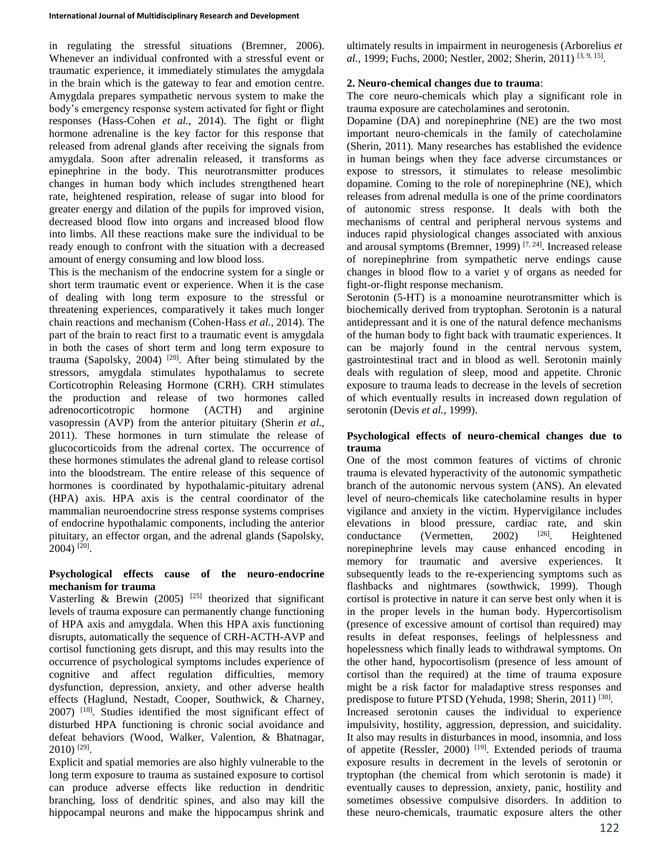in regulating the stressful situations (Bremner, 2006). Whenever an individual confronted with a stressful event or traumatic experience, it immediately stimulates the amygdala in the brain which is the gateway to fear and emotion centre. Amygdala prepares sympathetic nervous system to make the body's emergency response system activated for fight or flight responses (Hass-Cohen *et al.,* 2014). The fight or flight hormone adrenaline is the key factor for this response that released from adrenal glands after receiving the signals from amygdala. Soon after adrenalin released, it transforms as epinephrine in the body. This neurotransmitter produces changes in human body which includes strengthened heart rate, heightened respiration, release of sugar into blood for greater energy and dilation of the pupils for improved vision, decreased blood flow into organs and increased blood flow into limbs. All these reactions make sure the individual to be ready enough to confront with the situation with a decreased amount of energy consuming and low blood loss.

This is the mechanism of the endocrine system for a single or short term traumatic event or experience. When it is the case of dealing with long term exposure to the stressful or threatening experiences, comparatively it takes much longer chain reactions and mechanism (Cohen-Hass *et al.,* 2014). The part of the brain to react first to a traumatic event is amygdala in both the cases of short term and long term exposure to trauma (Sapolsky, 2004)  $[20]$ . After being stimulated by the stressors, amygdala stimulates hypothalamus to secrete Corticotrophin Releasing Hormone (CRH). CRH stimulates the production and release of two hormones called adrenocorticotropic hormone (ACTH) and arginine vasopressin (AVP) from the anterior pituitary (Sherin *et al.,* 2011). These hormones in turn stimulate the release of glucocorticoids from the adrenal cortex. The occurrence of these hormones stimulates the adrenal gland to release cortisol into the bloodstream. The entire release of this sequence of hormones is coordinated by hypothalamic**-**pituitary adrenal (HPA) axis. HPA axis is the central coordinator of the mammalian neuroendocrine stress response systems comprises of endocrine hypothalamic components, including the anterior pituitary, an effector organ, and the adrenal glands (Sapolsky, 2004) [20] .

# **Psychological effects cause of the neuro-endocrine mechanism for trauma**

Vasterling & Brewin (2005) <sup>[25]</sup> theorized that significant levels of trauma exposure can permanently change functioning of HPA axis and amygdala. When this HPA axis functioning disrupts, automatically the sequence of CRH-ACTH-AVP and cortisol functioning gets disrupt, and this may results into the occurrence of psychological symptoms includes experience of cognitive and affect regulation difficulties, memory dysfunction, depression, anxiety, and other adverse health effects (Haglund, Nestadt, Cooper, Southwick, & Charney, 2007) [10]. Studies identified the most significant effect of disturbed HPA functioning is chronic social avoidance and defeat behaviors (Wood, Walker, Valention, & Bhatnagar, 2010) [29] .

Explicit and spatial memories are also highly vulnerable to the long term exposure to trauma as sustained exposure to cortisol can produce adverse effects like reduction in dendritic branching, loss of dendritic spines, and also may kill the hippocampal neurons and make the hippocampus shrink and ultimately results in impairment in neurogenesis (Arborelius *et*  al., 1999; Fuchs, 2000; Nestler, 2002; Sherin, 2011)<sup>[3, 9, 15]</sup>.

### **2. Neuro-chemical changes due to trauma**:

The core neuro-chemicals which play a significant role in trauma exposure are catecholamines and serotonin.

Dopamine (DA) and norepinephrine (NE) are the two most important neuro-chemicals in the family of catecholamine (Sherin, 2011). Many researches has established the evidence in human beings when they face adverse circumstances or expose to stressors, it stimulates to release mesolimbic dopamine. Coming to the role of norepinephrine (NE), which releases from adrenal medulla is one of the prime coordinators of autonomic stress response. It deals with both the mechanisms of central and peripheral nervous systems and induces rapid physiological changes associated with anxious and arousal symptoms (Bremner, 1999)<sup>[7, 24]</sup>. Increased release of norepinephrine from sympathetic nerve endings cause changes in blood flow to a variet y of organs as needed for fight-or-flight response mechanism.

Serotonin (5-HT) is a monoamine neurotransmitter which is biochemically derived from tryptophan. Serotonin is a natural antidepressant and it is one of the natural defence mechanisms of the human body to fight back with traumatic experiences. It can be majorly found in the central nervous system, gastrointestinal tract and in blood as well. Serotonin mainly deals with regulation of sleep, mood and appetite. Chronic exposure to trauma leads to decrease in the levels of secretion of which eventually results in increased down regulation of serotonin (Devis *et al.,* 1999).

# **Psychological effects of neuro-chemical changes due to trauma**

One of the most common features of victims of chronic trauma is elevated hyperactivity of the autonomic sympathetic branch of the autonomic nervous system (ANS). An elevated level of neuro-chemicals like catecholamine results in hyper vigilance and anxiety in the victim. Hypervigilance includes elevations in blood pressure, cardiac rate, and skin conductance (Vermetten, 2002)  $[26]$ . Heightened conductance (Vermetten, 2002) <sup>[26]</sup>. Heightened norepinephrine levels may cause enhanced encoding in memory for traumatic and aversive experiences. It subsequently leads to the re-experiencing symptoms such as flashbacks and nightmares (sowthwick, 1999). Though cortisol is protective in nature it can serve best only when it is in the proper levels in the human body. Hypercortisolism (presence of excessive amount of cortisol than required) may results in defeat responses, feelings of helplessness and hopelessness which finally leads to withdrawal symptoms. On the other hand, hypocortisolism (presence of less amount of cortisol than the required) at the time of trauma exposure might be a risk factor for maladaptive stress responses and predispose to future PTSD (Yehuda, 1998; Sherin, 2011)<sup>[30]</sup>. Increased serotonin causes the individual to experience impulsivity, hostility, aggression, depression, and suicidality. It also may results in disturbances in mood, insomnia, and loss of appetite (Ressler, 2000)<sup>[19]</sup>. Extended periods of trauma exposure results in decrement in the levels of serotonin or tryptophan (the chemical from which serotonin is made) it eventually causes to depression, anxiety, panic, hostility and

sometimes obsessive compulsive disorders. In addition to these neuro-chemicals, traumatic exposure alters the other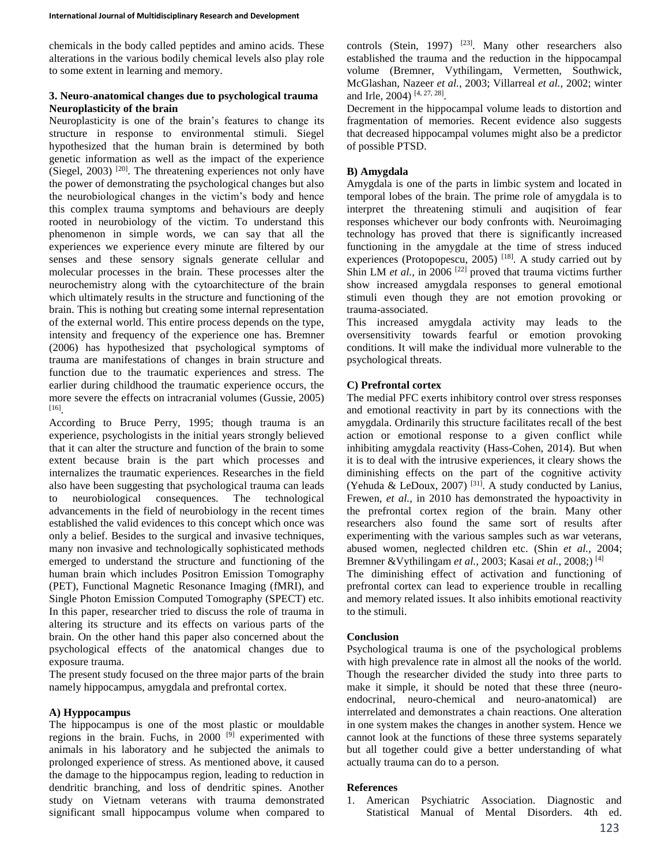chemicals in the body called peptides and amino acids. These alterations in the various bodily chemical levels also play role to some extent in learning and memory.

### **3. Neuro-anatomical changes due to psychological trauma Neuroplasticity of the brain**

Neuroplasticity is one of the brain's features to change its structure in response to environmental stimuli. Siegel hypothesized that the human brain is determined by both genetic information as well as the impact of the experience (Siegel, 2003)  $[20]$ . The threatening experiences not only have the power of demonstrating the psychological changes but also the neurobiological changes in the victim's body and hence this complex trauma symptoms and behaviours are deeply rooted in neurobiology of the victim. To understand this phenomenon in simple words, we can say that all the experiences we experience every minute are filtered by our senses and these sensory signals generate cellular and molecular processes in the brain. These processes alter the neurochemistry along with the cytoarchitecture of the brain which ultimately results in the structure and functioning of the brain. This is nothing but creating some internal representation of the external world. This entire process depends on the type, intensity and frequency of the experience one has. Bremner (2006) has hypothesized that psychological symptoms of trauma are manifestations of changes in brain structure and function due to the traumatic experiences and stress. The earlier during childhood the traumatic experience occurs, the more severe the effects on intracranial volumes (Gussie, 2005) [16] .

According to Bruce Perry, 1995; though trauma is an experience, psychologists in the initial years strongly believed that it can alter the structure and function of the brain to some extent because brain is the part which processes and internalizes the traumatic experiences. Researches in the field also have been suggesting that psychological trauma can leads to neurobiological consequences. The technological advancements in the field of neurobiology in the recent times established the valid evidences to this concept which once was only a belief. Besides to the surgical and invasive techniques, many non invasive and technologically sophisticated methods emerged to understand the structure and functioning of the human brain which includes Positron Emission Tomography (PET), Functional Magnetic Resonance Imaging (fMRI), and Single Photon Emission Computed Tomography (SPECT) etc. In this paper, researcher tried to discuss the role of trauma in altering its structure and its effects on various parts of the brain. On the other hand this paper also concerned about the psychological effects of the anatomical changes due to exposure trauma.

The present study focused on the three major parts of the brain namely hippocampus, amygdala and prefrontal cortex.

# **A) Hyppocampus**

The hippocampus is one of the most plastic or mouldable regions in the brain. Fuchs, in  $2000$  [9] experimented with animals in his laboratory and he subjected the animals to prolonged experience of stress. As mentioned above, it caused the damage to the hippocampus region, leading to reduction in dendritic branching, and loss of dendritic spines. Another study on Vietnam veterans with trauma demonstrated significant small hippocampus volume when compared to controls (Stein, 1997) <sup>[23]</sup>. Many other researchers also established the trauma and the reduction in the hippocampal volume (Bremner, Vythilingam, Vermetten, Southwick, McGlashan, Nazeer *et al.,* 2003; Villarreal *et al.,* 2002; winter and Irle, 2004)<sup>[4, 27, 28]</sup>.

Decrement in the hippocampal volume leads to distortion and fragmentation of memories. Recent evidence also suggests that decreased hippocampal volumes might also be a predictor of possible PTSD.

# **B) Amygdala**

Amygdala is one of the parts in limbic system and located in temporal lobes of the brain. The prime role of amygdala is to interpret the threatening stimuli and auqisition of fear responses whichever our body confronts with. Neuroimaging technology has proved that there is significantly increased functioning in the amygdale at the time of stress induced experiences (Protopopescu, 2005)<sup>[18]</sup>. A study carried out by Shin LM *et al.*, in 2006<sup>[22]</sup> proved that trauma victims further show increased amygdala responses to general emotional stimuli even though they are not emotion provoking or trauma-associated.

This increased amygdala activity may leads to the oversensitivity towards fearful or emotion provoking conditions. It will make the individual more vulnerable to the psychological threats.

### **C) Prefrontal cortex**

The medial PFC exerts inhibitory control over stress responses and emotional reactivity in part by its connections with the amygdala. Ordinarily this structure facilitates recall of the best action or emotional response to a given conflict while inhibiting amygdala reactivity (Hass-Cohen, 2014). But when it is to deal with the intrusive experiences, it cleary shows the diminishing effects on the part of the cognitive activity (Yehuda & LeDoux, 2007)<sup>[31]</sup>. A study conducted by Lanius, Frewen, *et al.*, in 2010 has demonstrated the hypoactivity in the prefrontal cortex region of the brain. Many other researchers also found the same sort of results after experimenting with the various samples such as war veterans, abused women, neglected children etc. (Shin *et al.,* 2004; Bremner &Vythilingam *et al.,* 2003; Kasai *et al.,* 2008;) [4]

The diminishing effect of activation and functioning of prefrontal cortex can lead to experience trouble in recalling and memory related issues. It also inhibits emotional reactivity to the stimuli.

### **Conclusion**

Psychological trauma is one of the psychological problems with high prevalence rate in almost all the nooks of the world. Though the researcher divided the study into three parts to make it simple, it should be noted that these three (neuroendocrinal, neuro-chemical and neuro-anatomical) are interrelated and demonstrates a chain reactions. One alteration in one system makes the changes in another system. Hence we cannot look at the functions of these three systems separately but all together could give a better understanding of what actually trauma can do to a person.

### **References**

1. American Psychiatric Association. Diagnostic and Statistical Manual of Mental Disorders. 4th ed.